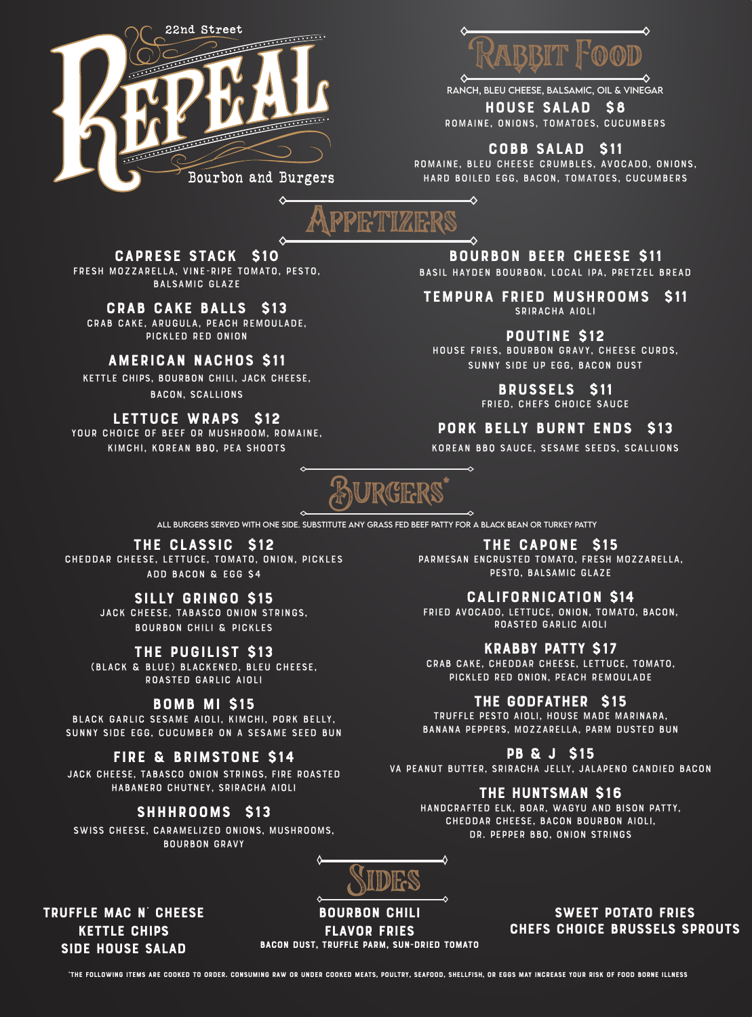



ranch, bleu cheese, balsamic, oil & vinegar

House Salad \$8 romaine, onions, tomatoes, cucumbers

Cobb Salad \$11

romaine, bleu cheese crumbles, avocado, Onions, hard boiled egg, bacon, tomatoes, cucumbers

-0

Appetizers

Caprese Stack \$10 Fresh Mozzarella, Vine-Ripe Tomato, Pesto, Balsamic Glaze

♦

Crab Cake Balls \$13 Crab Cake, Arugula, Peach Remoulade, Pickled red onion

# American Nachos \$11

Kettle Chips, Bourbon Chili, Jack Cheese, Bacon, Scallions

LETTUCE WRAPS \$12 Your choice of beef or mushroom, Romaine,

Kimchi, Korean BBQ, Pea Shoots

Bourbon Beer Cheese \$11

Basil Hayden Bourbon, Local Ipa, Pretzel Bread

Tempura Fried Mushrooms \$11 SRIRACHA AIOLI

Poutine \$12

House Fries, Bourbon Gravy, Cheese Curds, Sunny Side Up Egg, Bacon Dust

> Brussels \$11 Fried, Chefs choice sauce

Pork Belly Burnt Ends \$13

Korean BBQ Sauce, Sesame seeds, scallions



ALL BURGERS SERVED With one side. Substitute any grass fed beef patty for a Black bean or turkey patty

The Classic \$12

Cheddar Cheese, Lettuce, Tomato, Onion, Pickles Add bacon & egg \$4

# Silly Gringo \$15

Jack Cheese, Tabasco Onion Strings, Bourbon Chili & Pickles

The Pugilist \$13

(Black & Blue) Blackened, Bleu Cheese, Roasted Garlic Aioli

# BOMB MI \$15

Black garlic Sesame Aioli, Kimchi, Pork Belly, Sunny Side Egg, Cucumber on a sesame seed bun

# Fire & Brimstone \$14

Jack Cheese, Tabasco Onion Strings, Fire Roasted Habanero Chutney, Sriracha Aioli

# SHHHROOMS \$13

Swiss Cheese, Caramelized Onions, Mushrooms, Bourbon Gravy

The Capone \$15 Parmesan Encrusted Tomato, Fresh Mozzarella, Pesto, Balsamic Glaze

# Californication \$14

Fried Avocado, Lettuce, Onion, Tomato, Bacon, Roasted Garlic Aioli

# Krabby Patty \$17

Crab cake, Cheddar Cheese, lettuce, Tomato, Pickled Red Onion, Peach Remoulade

# The Godfather \$15

Truffle Pesto Aioli, House Made Marinara, Banana Peppers, Mozzarella, Parm Dusted Bun

#### Pb & J \$15

Va Peanut Butter, Sriracha Jelly, Jalapeno Candied Bacon

The Huntsman \$16

Handcrafted Elk, Boar, Wagyu and bison patty, Cheddar Cheese, Bacon bourbon aioli, Dr. Pepper BBQ, Onion strings



Truffle mac n' cheese Kettle chips Side house salad

Bourbon chili Flavor fries Bacon dust, truffle parm, sun-dried tomato

SWEET POTATO FRIES Chefs Choice Brussels Sprouts

\*The following items are cooked to order. Consuming raw or under cooked meats, poultry, seafood, shellfish, or eggs may increase your risk of food borne illness